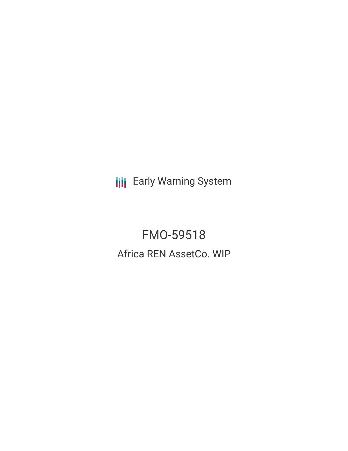**III** Early Warning System

FMO-59518 Africa REN AssetCo. WIP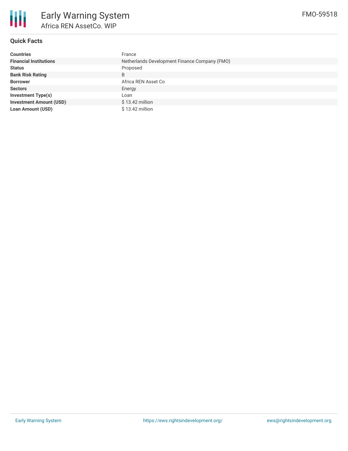

# **Quick Facts**

| <b>Countries</b>               | France                                        |
|--------------------------------|-----------------------------------------------|
| <b>Financial Institutions</b>  | Netherlands Development Finance Company (FMO) |
| <b>Status</b>                  | Proposed                                      |
| <b>Bank Risk Rating</b>        | B                                             |
| <b>Borrower</b>                | Africa REN Asset Co                           |
| <b>Sectors</b>                 | Energy                                        |
| <b>Investment Type(s)</b>      | Loan                                          |
| <b>Investment Amount (USD)</b> | $$13.42$ million                              |
| <b>Loan Amount (USD)</b>       | $$13.42$ million                              |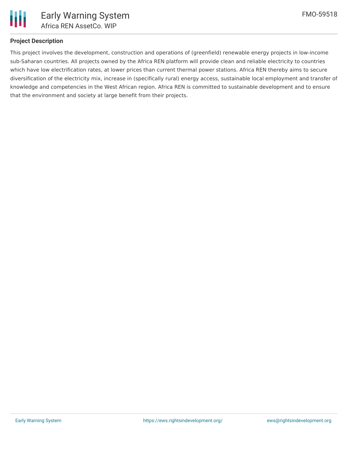

### **Project Description**

This project involves the development, construction and operations of (greenfield) renewable energy projects in low-income sub-Saharan countries. All projects owned by the Africa REN platform will provide clean and reliable electricity to countries which have low electrification rates, at lower prices than current thermal power stations. Africa REN thereby aims to secure diversification of the electricity mix, increase in (specifically rural) energy access, sustainable local employment and transfer of knowledge and competencies in the West African region. Africa REN is committed to sustainable development and to ensure that the environment and society at large benefit from their projects.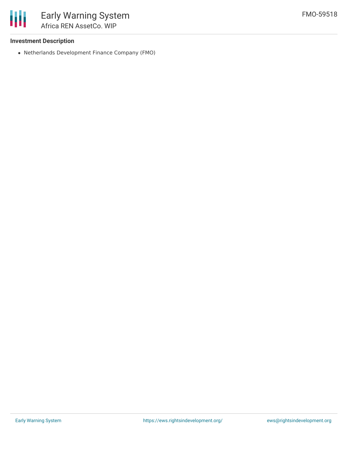

### **Investment Description**

Netherlands Development Finance Company (FMO)